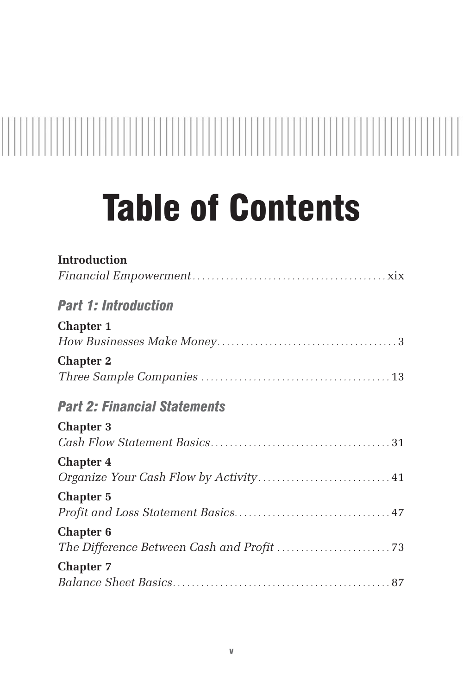## 

## Table of Contents

| <b>Introduction</b>                    |
|----------------------------------------|
|                                        |
| <b>Part 1: Introduction</b>            |
| <b>Chapter 1</b>                       |
|                                        |
| <b>Chapter 2</b>                       |
|                                        |
| <b>Part 2: Financial Statements</b>    |
| <b>Chapter 3</b>                       |
|                                        |
| <b>Chapter 4</b>                       |
| Organize Your Cash Flow by Activity 41 |
| <b>Chapter 5</b>                       |
|                                        |
| <b>Chapter 6</b>                       |
|                                        |
| <b>Chapter 7</b>                       |
|                                        |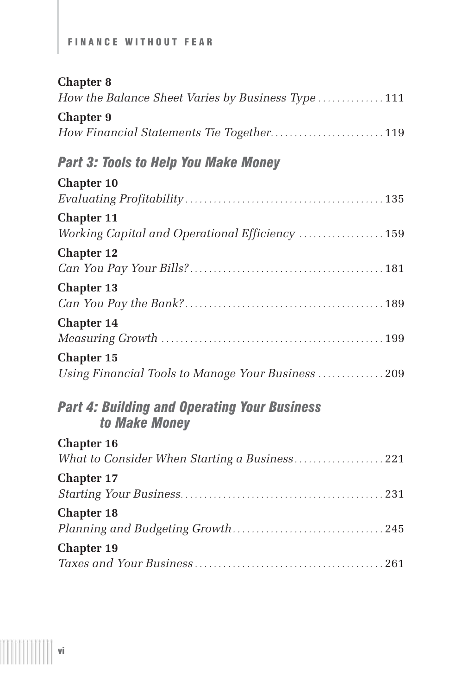## FINANCE WITHOUT FEAR

| <b>Chapter 8</b>                                                     |
|----------------------------------------------------------------------|
| How the Balance Sheet Varies by Business Type  111                   |
| <b>Chapter 9</b>                                                     |
| How Financial Statements Tie Together 119                            |
| <b>Part 3: Tools to Help You Make Money</b>                          |
| <b>Chapter 10</b>                                                    |
|                                                                      |
| <b>Chapter 11</b>                                                    |
| Working Capital and Operational Efficiency  159                      |
| <b>Chapter 12</b>                                                    |
|                                                                      |
| <b>Chapter 13</b>                                                    |
|                                                                      |
| <b>Chapter 14</b>                                                    |
|                                                                      |
| <b>Chapter 15</b>                                                    |
| Using Financial Tools to Manage Your Business  209                   |
| <b>Part 4: Building and Operating Your Business</b><br>to Make Money |
| <b>Chapter 16</b>                                                    |
| What to Consider When Starting a Business221                         |
| <b>Chapter 17</b>                                                    |
|                                                                      |
| <b>Chapter 18</b>                                                    |
|                                                                      |
| <b>Chapter 19</b>                                                    |
|                                                                      |